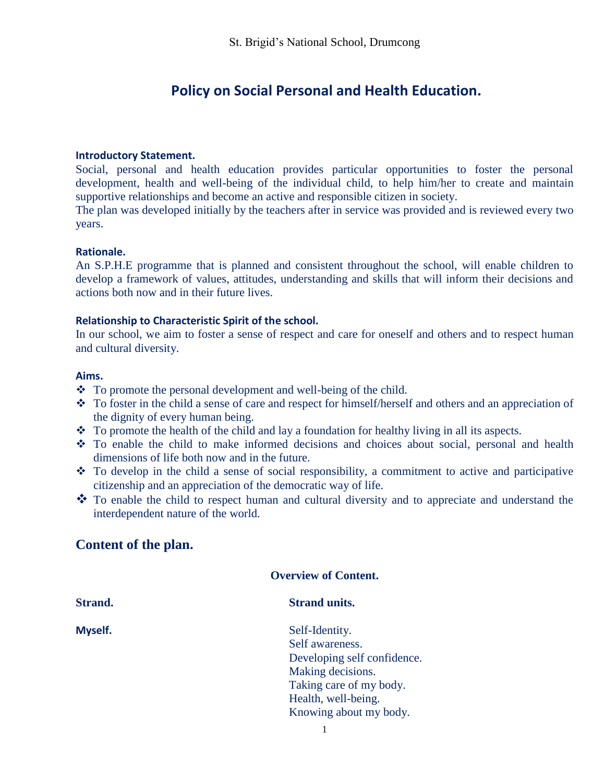# **Policy on Social Personal and Health Education.**

#### **Introductory Statement.**

Social, personal and health education provides particular opportunities to foster the personal development, health and well-being of the individual child, to help him/her to create and maintain supportive relationships and become an active and responsible citizen in society.

The plan was developed initially by the teachers after in service was provided and is reviewed every two years.

#### **Rationale.**

An S.P.H.E programme that is planned and consistent throughout the school, will enable children to develop a framework of values, attitudes, understanding and skills that will inform their decisions and actions both now and in their future lives.

#### **Relationship to Characteristic Spirit of the school.**

In our school, we aim to foster a sense of respect and care for oneself and others and to respect human and cultural diversity.

#### **Aims.**

- To promote the personal development and well-being of the child.
- To foster in the child a sense of care and respect for himself/herself and others and an appreciation of the dignity of every human being.
- $\bullet$  To promote the health of the child and lay a foundation for healthy living in all its aspects.
- To enable the child to make informed decisions and choices about social, personal and health dimensions of life both now and in the future.
- To develop in the child a sense of social responsibility, a commitment to active and participative citizenship and an appreciation of the democratic way of life.
- \* To enable the child to respect human and cultural diversity and to appreciate and understand the interdependent nature of the world.

# **Content of the plan.**

|                | <b>Overview of Content.</b> |  |
|----------------|-----------------------------|--|
| <b>Strand.</b> | <b>Strand units.</b>        |  |
| Myself.        | Self-Identity.              |  |
|                | Self awareness.             |  |
|                | Developing self confidence. |  |
|                | Making decisions.           |  |
|                | Taking care of my body.     |  |
|                | Health, well-being.         |  |
|                | Knowing about my body.      |  |
|                |                             |  |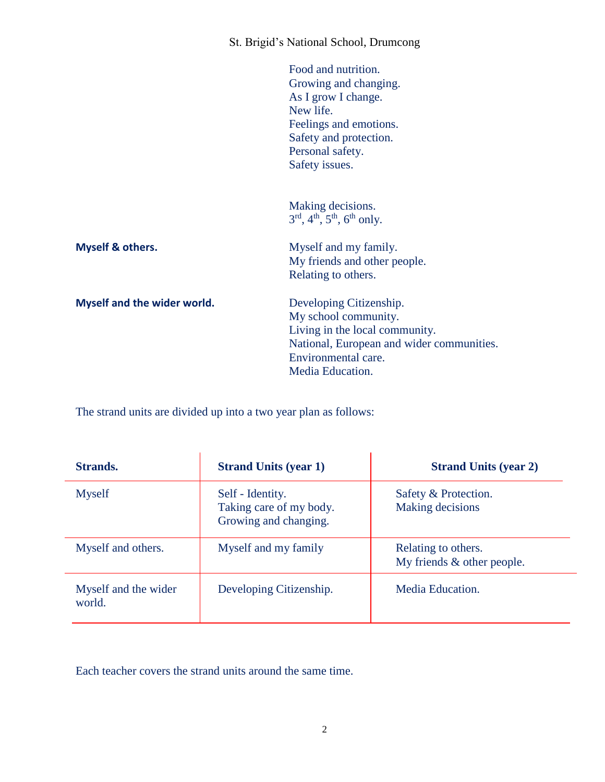|                             | St. Brigid's National School, Drumcong                                                                                                                                     |
|-----------------------------|----------------------------------------------------------------------------------------------------------------------------------------------------------------------------|
|                             | Food and nutrition.<br>Growing and changing.<br>As I grow I change.<br>New life.<br>Feelings and emotions.<br>Safety and protection.<br>Personal safety.<br>Safety issues. |
|                             | Making decisions.<br>$3^{rd}$ , 4 <sup>th</sup> , 5 <sup>th</sup> , 6 <sup>th</sup> only.                                                                                  |
| Myself & others.            | Myself and my family.<br>My friends and other people.<br>Relating to others.                                                                                               |
| Myself and the wider world. | Developing Citizenship.<br>My school community.<br>Living in the local community.<br>National, European and wider communities.<br>Environmental care.<br>Media Education.  |

The strand units are divided up into a two year plan as follows:

| Strands.                       | <b>Strand Units (year 1)</b>                                         | <b>Strand Units (year 2)</b>                      |
|--------------------------------|----------------------------------------------------------------------|---------------------------------------------------|
| <b>Myself</b>                  | Self - Identity.<br>Taking care of my body.<br>Growing and changing. | Safety & Protection.<br>Making decisions          |
| Myself and others.             | Myself and my family                                                 | Relating to others.<br>My friends & other people. |
| Myself and the wider<br>world. | Developing Citizenship.                                              | Media Education.                                  |

Each teacher covers the strand units around the same time.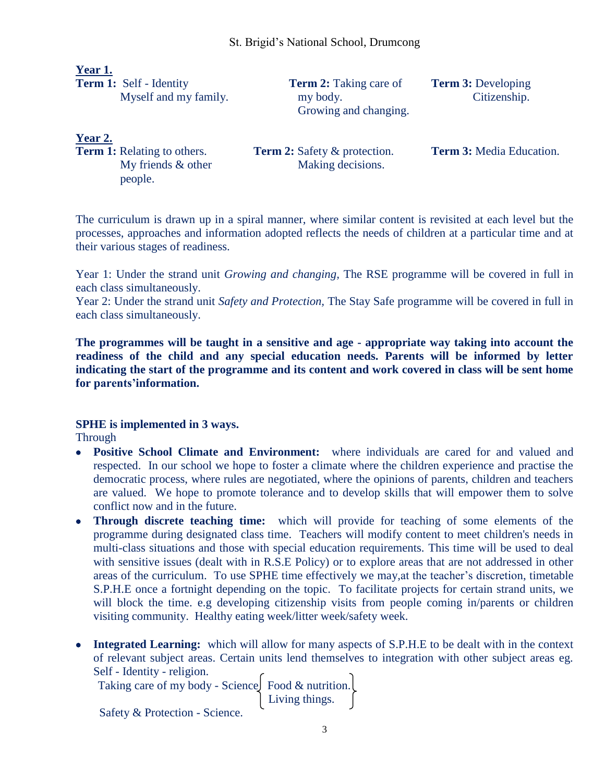| Year 1.                        |                               |                           |
|--------------------------------|-------------------------------|---------------------------|
| <b>Term 1:</b> Self - Identity | <b>Term 2:</b> Taking care of | <b>Term 3:</b> Developing |
| Myself and my family.          | my body.                      | Citizenship.              |
|                                | Growing and changing.         |                           |

**Year 2.**

people.

My friends & other Making decisions.

**Term 1:** Relating to others. **Term 2:** Safety & protection. **Term 3:** Media Education.

The curriculum is drawn up in a spiral manner, where similar content is revisited at each level but the processes, approaches and information adopted reflects the needs of children at a particular time and at their various stages of readiness.

Year 1: Under the strand unit *Growing and changing,* The RSE programme will be covered in full in each class simultaneously.

Year 2: Under the strand unit *Safety and Protection,* The Stay Safe programme will be covered in full in each class simultaneously.

**The programmes will be taught in a sensitive and age - appropriate way taking into account the readiness of the child and any special education needs. Parents will be informed by letter indicating the start of the programme and its content and work covered in class will be sent home for parents'information.**

### **SPHE is implemented in 3 ways.**

**Through** 

- **Positive School Climate and Environment:** where individuals are cared for and valued and respected. In our school we hope to foster a climate where the children experience and practise the democratic process, where rules are negotiated, where the opinions of parents, children and teachers are valued. We hope to promote tolerance and to develop skills that will empower them to solve conflict now and in the future.
- **Through discrete teaching time:** which will provide for teaching of some elements of the programme during designated class time. Teachers will modify content to meet children's needs in multi-class situations and those with special education requirements. This time will be used to deal with sensitive issues (dealt with in R.S.E Policy) or to explore areas that are not addressed in other areas of the curriculum. To use SPHE time effectively we may,at the teacher's discretion, timetable S.P.H.E once a fortnight depending on the topic. To facilitate projects for certain strand units, we will block the time. e.g developing citizenship visits from people coming in/parents or children visiting community. Healthy eating week/litter week/safety week.
- **Integrated Learning:** which will allow for many aspects of S.P.H.E to be dealt with in the context of relevant subject areas. Certain units lend themselves to integration with other subject areas eg. Self - Identity - religion.

| Taking care of my body - Science Food & nutrition. |                |  |
|----------------------------------------------------|----------------|--|
|                                                    | Living things. |  |
| Safety & Protection - Science.                     |                |  |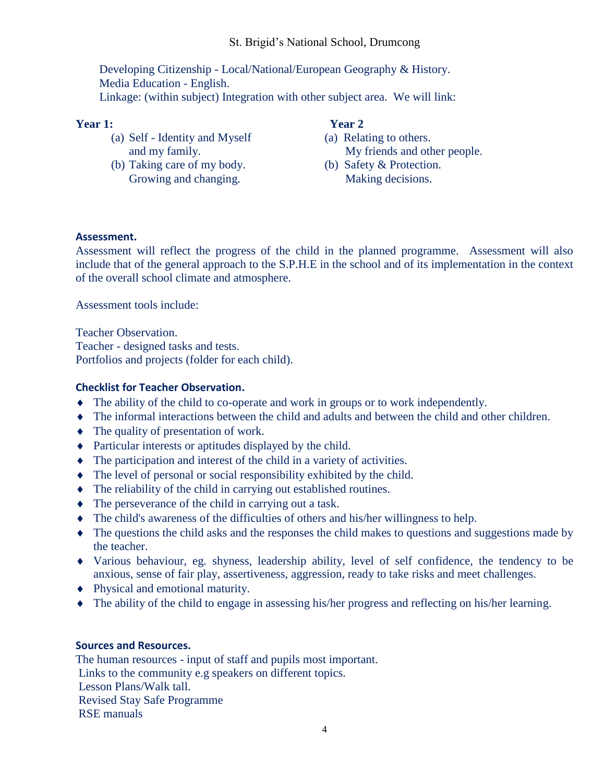## St. Brigid's National School, Drumcong

 Developing Citizenship - Local/National/European Geography & History. Media Education - English. Linkage: (within subject) Integration with other subject area. We will link:

#### **Year 1: Year 2**

- (a) Self Identity and Myself (a) Relating to others.
- (b) Taking care of my body. (b) Safety & Protection. Growing and changing. Making decisions.

- and my family. My friends and other people.
	-

#### **Assessment.**

Assessment will reflect the progress of the child in the planned programme. Assessment will also include that of the general approach to the S.P.H.E in the school and of its implementation in the context of the overall school climate and atmosphere.

Assessment tools include:

Teacher Observation. Teacher - designed tasks and tests. Portfolios and projects (folder for each child).

#### **Checklist for Teacher Observation.**

- The ability of the child to co-operate and work in groups or to work independently.
- The informal interactions between the child and adults and between the child and other children.
- The quality of presentation of work.
- Particular interests or aptitudes displayed by the child.
- The participation and interest of the child in a variety of activities.
- The level of personal or social responsibility exhibited by the child.
- The reliability of the child in carrying out established routines.
- The perseverance of the child in carrying out a task.
- The child's awareness of the difficulties of others and his/her willingness to help.
- The questions the child asks and the responses the child makes to questions and suggestions made by the teacher.
- Various behaviour, eg. shyness, leadership ability, level of self confidence, the tendency to be anxious, sense of fair play, assertiveness, aggression, ready to take risks and meet challenges.
- Physical and emotional maturity.
- The ability of the child to engage in assessing his/her progress and reflecting on his/her learning.

#### **Sources and Resources.**

The human resources - input of staff and pupils most important. Links to the community e.g speakers on different topics. Lesson Plans/Walk tall. Revised Stay Safe Programme RSE manuals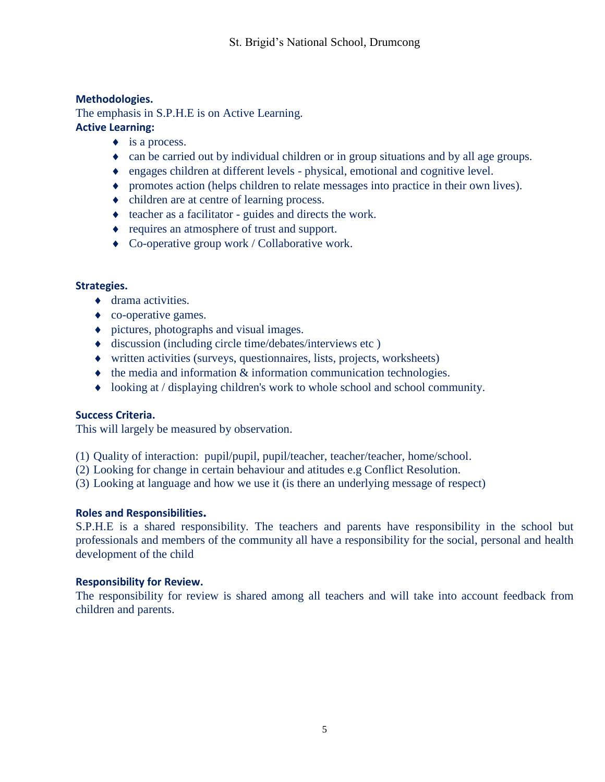# **Methodologies.**

The emphasis in S.P.H.E is on Active Learning. **Active Learning:** 

- $\bullet$  is a process.
	- can be carried out by individual children or in group situations and by all age groups.
	- engages children at different levels physical, emotional and cognitive level.
	- promotes action (helps children to relate messages into practice in their own lives).
	- children are at centre of learning process.
	- teacher as a facilitator guides and directs the work.
	- requires an atmosphere of trust and support.
	- Co-operative group work / Collaborative work.

#### **Strategies.**

- ◆ drama activities.
- co-operative games.
- pictures, photographs and visual images.
- discussion (including circle time/debates/interviews etc )
- written activities (surveys, questionnaires, lists, projects, worksheets)
- $\bullet$  the media and information  $\&$  information communication technologies.
- looking at / displaying children's work to whole school and school community.

### **Success Criteria.**

This will largely be measured by observation.

- (1) Quality of interaction: pupil/pupil, pupil/teacher, teacher/teacher, home/school.
- (2) Looking for change in certain behaviour and atitudes e.g Conflict Resolution.
- (3) Looking at language and how we use it (is there an underlying message of respect)

### **Roles and Responsibilities.**

S.P.H.E is a shared responsibility. The teachers and parents have responsibility in the school but professionals and members of the community all have a responsibility for the social, personal and health development of the child

#### **Responsibility for Review.**

The responsibility for review is shared among all teachers and will take into account feedback from children and parents.